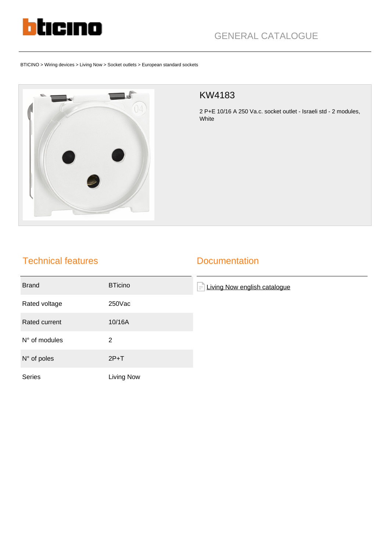

# GENERAL CATALOGUE

BTICINO > Wiring devices > Living Now > Socket outlets > European standard sockets



#### KW4183

2 P+E 10/16 A 250 Va.c. socket outlet - Israeli std - 2 modules, White

### Technical features

#### **Documentation**

| <b>Brand</b>         | <b>BTicino</b> | Living Now english catalogue<br>$\equiv$ |
|----------------------|----------------|------------------------------------------|
| Rated voltage        | 250Vac         |                                          |
| Rated current        | 10/16A         |                                          |
| N° of modules        | 2              |                                          |
| $N^{\circ}$ of poles | $2P+T$         |                                          |
| Series               | Living Now     |                                          |